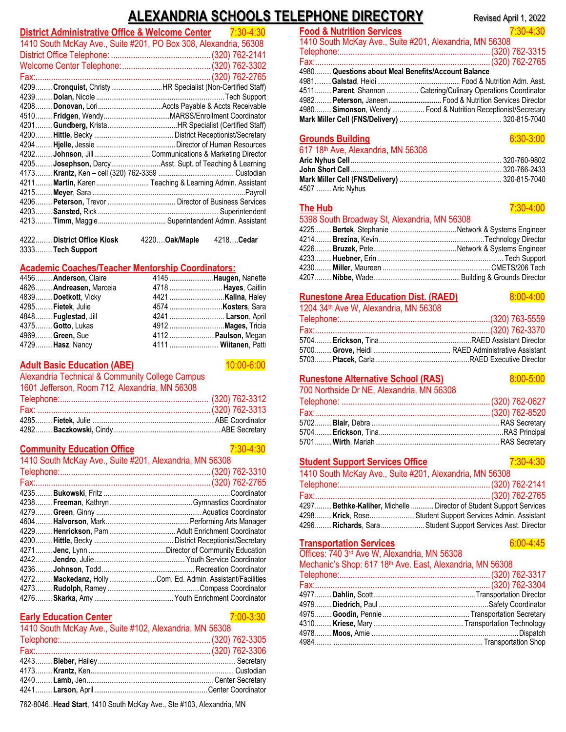# **ALEXANDRIA SCHOOLS TELEPHONE DIRECTORY** Revised April 1, 2022

| District Administrative Office & Welcome Center | 7:30-4:30                                                        |
|-------------------------------------------------|------------------------------------------------------------------|
|                                                 | 1410 South McKay Ave., Suite #201, PO Box 308, Alexandria, 56308 |
|                                                 |                                                                  |
|                                                 |                                                                  |
| Fax:                                            |                                                                  |
|                                                 | 4209  Cronquist, Christy HR Specialist (Non-Certified Staff)     |
| $4239$                                          |                                                                  |
|                                                 |                                                                  |
|                                                 |                                                                  |
|                                                 |                                                                  |
|                                                 |                                                                  |
|                                                 |                                                                  |
| 4202                                            | Johnson, Jill Communications & Marketing Director                |
|                                                 | 4205Josephson, DarcyAsst. Supt. of Teaching & Learning           |
|                                                 |                                                                  |
|                                                 | 4211  Martin, Karen  Teaching & Learning Admin. Assistant        |
|                                                 |                                                                  |
|                                                 |                                                                  |
|                                                 |                                                                  |
| $4213$                                          |                                                                  |
| 4222<br>District Office Kiosk                   | 4220 Oak/Maple<br>4218Cedar                                      |
| 3333Tech Support                                |                                                                  |

#### **Academic Coaches/Teacher Mentorship Coordinators:**

| 4456 Anderson, Claire    | 4145 <b>Haugen</b> , Nanette |  |
|--------------------------|------------------------------|--|
| 4626  Andreasen, Marceia | 4718 Hayes, Caitlin          |  |
| 4839  Doetkott, Vicky    | 4421 <b>Kalina</b> , Haley   |  |
| 4285  Fietek, Julie      |                              |  |
| 4848Fuglestad, Jill      | 4241 <b>Larson</b> , April   |  |
| 4375  Gotto, Lukas       | 4912 <b>Mages</b> , Tricia   |  |
| 4969  Green, Sue         | 4112 <b>Paulson</b> , Megan  |  |
| 4729  Hasz, Nancy        | 4111  Wiitanen, Patti        |  |

#### **Adult Basic Education (ABE)** 10:00-6:00

Alexandria Technical & Community College Campus

| 1601 Jefferson, Room 712, Alexandria, MN 56308 |  |
|------------------------------------------------|--|
|                                                |  |
|                                                |  |
|                                                |  |
|                                                |  |

# **Community Education Office** 7:30-4:30

| 1410 South McKay Ave., Suite #201, Alexandria, MN 56308 |  |                                                      |
|---------------------------------------------------------|--|------------------------------------------------------|
|                                                         |  |                                                      |
| Fax:                                                    |  |                                                      |
| $4235$                                                  |  |                                                      |
|                                                         |  |                                                      |
|                                                         |  |                                                      |
| $4604$                                                  |  |                                                      |
| 4229.                                                   |  |                                                      |
| $4200$                                                  |  |                                                      |
| $4271$                                                  |  |                                                      |
| $4242$                                                  |  |                                                      |
| $4236$                                                  |  |                                                      |
| $4272$                                                  |  | Mackedanz, HollyCom. Ed. Admin. Assistant/Facilities |
| $4273$                                                  |  |                                                      |
| $4276$                                                  |  |                                                      |

## **Early Education Center** 7:00-3:30

| 1410 South McKay Ave., Suite #102, Alexandria, MN 56308 |
|---------------------------------------------------------|
|                                                         |
|                                                         |
|                                                         |
|                                                         |
|                                                         |
|                                                         |
|                                                         |

762-8046..**Head Start**, 1410 South McKay Ave., Ste #103, Alexandria, MN

| <b>Food &amp; Nutrition Services</b>                    | 7:30-4:30                                                      |  |
|---------------------------------------------------------|----------------------------------------------------------------|--|
| 1410 South McKay Ave., Suite #201, Alexandria, MN 56308 |                                                                |  |
|                                                         |                                                                |  |
|                                                         |                                                                |  |
| 4980 Questions about Meal Benefits/Account Balance      |                                                                |  |
|                                                         |                                                                |  |
|                                                         | 4511 Parent, Shannon  Catering/Culinary Operations Coordinator |  |
|                                                         | 4982 Peterson, Janeen Food & Nutrition Services Director       |  |
|                                                         | 4980 Simonson, Wendy  Food & Nutrition Receptionist/Secretary  |  |
|                                                         |                                                                |  |

#### **Grounds Building** 6:30-3:00 617 18th Ave, Alexandria, MN 56308 **Aric Nyhus Cell**................................................................................ 320-760-9802 **John Short Cell**................................................................................ 320-766-2433 **Mark Miller Cell (FNS/Delivery)** ...................................................... 320-815-7040 4507 ........Aric Nyhus

## **The Hub** 7:30-4:00

#### 5398 South Broadway St, Alexandria, MN 56308

|  | 0000 00000 DI 000000 VG 7 00000 0000 00000 |
|--|--------------------------------------------|
|  |                                            |
|  |                                            |
|  |                                            |
|  |                                            |
|  |                                            |
|  |                                            |

#### **Runestone Area Education Dist. (RAED)** 8:00-4:00

1204 34th Ave W, Alexandria, MN 56308

## **Runestone Alternative School (RAS)** 8:00-5:00

700 Northside Dr NE, Alexandria, MN 56308

## **Student Support Services Office** 7:30-4:30

| <u>staacht sappolt sel 11000 Sinoc</u> | $\sim$ $\sim$ $\sim$ $\sim$ $\sim$                                  |  |
|----------------------------------------|---------------------------------------------------------------------|--|
|                                        | 1410 South McKay Ave., Suite #201, Alexandria, MN 56308             |  |
|                                        |                                                                     |  |
|                                        |                                                                     |  |
|                                        | 4297 Bethke-Kaliher, Michelle  Director of Student Support Services |  |
|                                        | 4298 Krick, Rose Student Support Services Admin. Assistant          |  |
|                                        | 4296 Richards, Sara Student Support Services Asst. Director         |  |
|                                        |                                                                     |  |

#### **Transportation Services** 6:00-4:45

Offices: 740 3rd Ave W, Alexandria, MN 56308